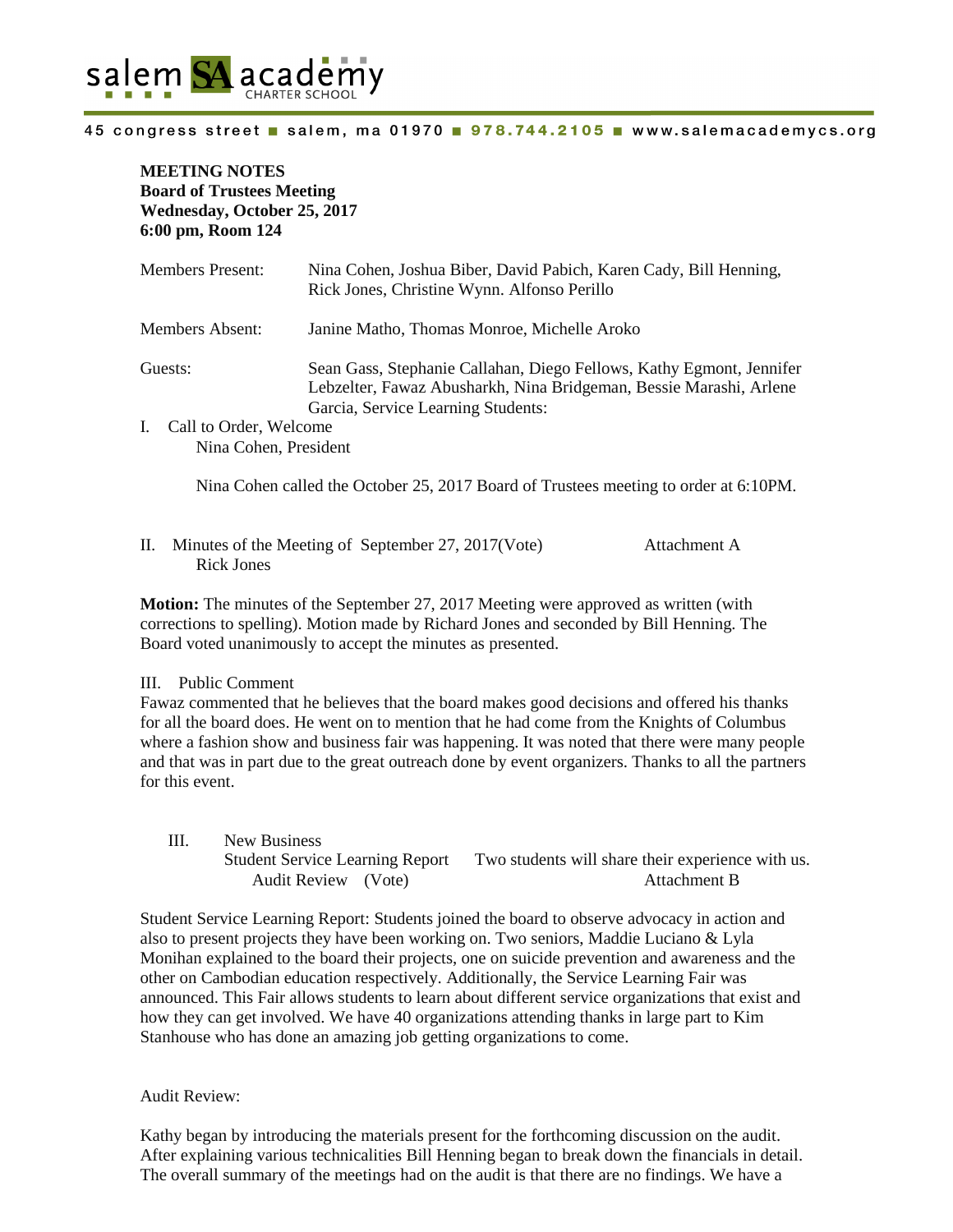

**MEETING NOTES Board of Trustees Meeting Wednesday, October 25, 2017 6:00 pm, Room 124**

| Members Present:                        | Nina Cohen, Joshua Biber, David Pabich, Karen Cady, Bill Henning,<br>Rick Jones, Christine Wynn. Alfonso Perillo                                                                 |
|-----------------------------------------|----------------------------------------------------------------------------------------------------------------------------------------------------------------------------------|
| Members Absent:                         | Janine Matho, Thomas Monroe, Michelle Aroko                                                                                                                                      |
| Guests:<br>Call to Order, Welcome<br>L. | Sean Gass, Stephanie Callahan, Diego Fellows, Kathy Egmont, Jennifer<br>Lebzelter, Fawaz Abusharkh, Nina Bridgeman, Bessie Marashi, Arlene<br>Garcia, Service Learning Students: |
| Nina Cohen, President                   |                                                                                                                                                                                  |

Nina Cohen called the October 25, 2017 Board of Trustees meeting to order at 6:10PM.

II. Minutes of the Meeting of September 27, 2017(Vote) Attachment A Rick Jones

**Motion:** The minutes of the September 27, 2017 Meeting were approved as written (with corrections to spelling). Motion made by Richard Jones and seconded by Bill Henning. The Board voted unanimously to accept the minutes as presented.

# III. Public Comment

Fawaz commented that he believes that the board makes good decisions and offered his thanks for all the board does. He went on to mention that he had come from the Knights of Columbus where a fashion show and business fair was happening. It was noted that there were many people and that was in part due to the great outreach done by event organizers. Thanks to all the partners for this event.

III. New Business Student Service Learning Report Two students will share their experience with us. Audit Review (Vote) Attachment B

Student Service Learning Report: Students joined the board to observe advocacy in action and also to present projects they have been working on. Two seniors, Maddie Luciano & Lyla Monihan explained to the board their projects, one on suicide prevention and awareness and the other on Cambodian education respectively. Additionally, the Service Learning Fair was announced. This Fair allows students to learn about different service organizations that exist and how they can get involved. We have 40 organizations attending thanks in large part to Kim Stanhouse who has done an amazing job getting organizations to come.

# Audit Review:

Kathy began by introducing the materials present for the forthcoming discussion on the audit. After explaining various technicalities Bill Henning began to break down the financials in detail. The overall summary of the meetings had on the audit is that there are no findings. We have a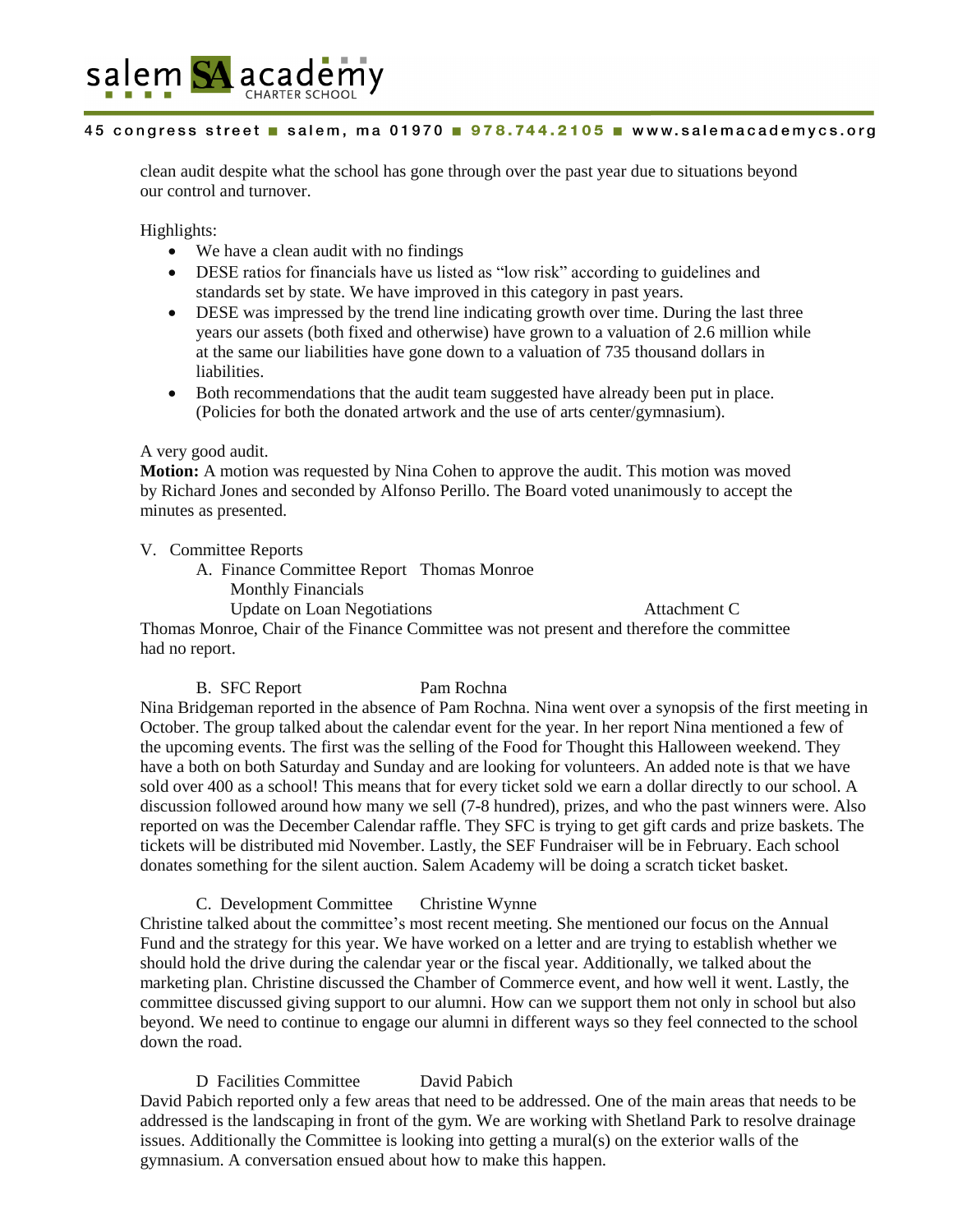

clean audit despite what the school has gone through over the past year due to situations beyond our control and turnover.

Highlights:

- We have a clean audit with no findings
- DESE ratios for financials have us listed as "low risk" according to guidelines and standards set by state. We have improved in this category in past years.
- DESE was impressed by the trend line indicating growth over time. During the last three years our assets (both fixed and otherwise) have grown to a valuation of 2.6 million while at the same our liabilities have gone down to a valuation of 735 thousand dollars in liabilities.
- Both recommendations that the audit team suggested have already been put in place. (Policies for both the donated artwork and the use of arts center/gymnasium).

# A very good audit.

**Motion:** A motion was requested by Nina Cohen to approve the audit. This motion was moved by Richard Jones and seconded by Alfonso Perillo. The Board voted unanimously to accept the minutes as presented.

V. Committee Reports

- A. Finance Committee Report Thomas Monroe
	- Monthly Financials

Update on Loan Negotiations Attachment C

Thomas Monroe, Chair of the Finance Committee was not present and therefore the committee had no report.

# B. SFC Report Pam Rochna

Nina Bridgeman reported in the absence of Pam Rochna. Nina went over a synopsis of the first meeting in October. The group talked about the calendar event for the year. In her report Nina mentioned a few of the upcoming events. The first was the selling of the Food for Thought this Halloween weekend. They have a both on both Saturday and Sunday and are looking for volunteers. An added note is that we have sold over 400 as a school! This means that for every ticket sold we earn a dollar directly to our school. A discussion followed around how many we sell (7-8 hundred), prizes, and who the past winners were. Also reported on was the December Calendar raffle. They SFC is trying to get gift cards and prize baskets. The tickets will be distributed mid November. Lastly, the SEF Fundraiser will be in February. Each school donates something for the silent auction. Salem Academy will be doing a scratch ticket basket.

C. Development Committee Christine Wynne

Christine talked about the committee's most recent meeting. She mentioned our focus on the Annual Fund and the strategy for this year. We have worked on a letter and are trying to establish whether we should hold the drive during the calendar year or the fiscal year. Additionally, we talked about the marketing plan. Christine discussed the Chamber of Commerce event, and how well it went. Lastly, the committee discussed giving support to our alumni. How can we support them not only in school but also beyond. We need to continue to engage our alumni in different ways so they feel connected to the school down the road.

D Facilities Committee David Pabich David Pabich reported only a few areas that need to be addressed. One of the main areas that needs to be addressed is the landscaping in front of the gym. We are working with Shetland Park to resolve drainage issues. Additionally the Committee is looking into getting a mural(s) on the exterior walls of the gymnasium. A conversation ensued about how to make this happen.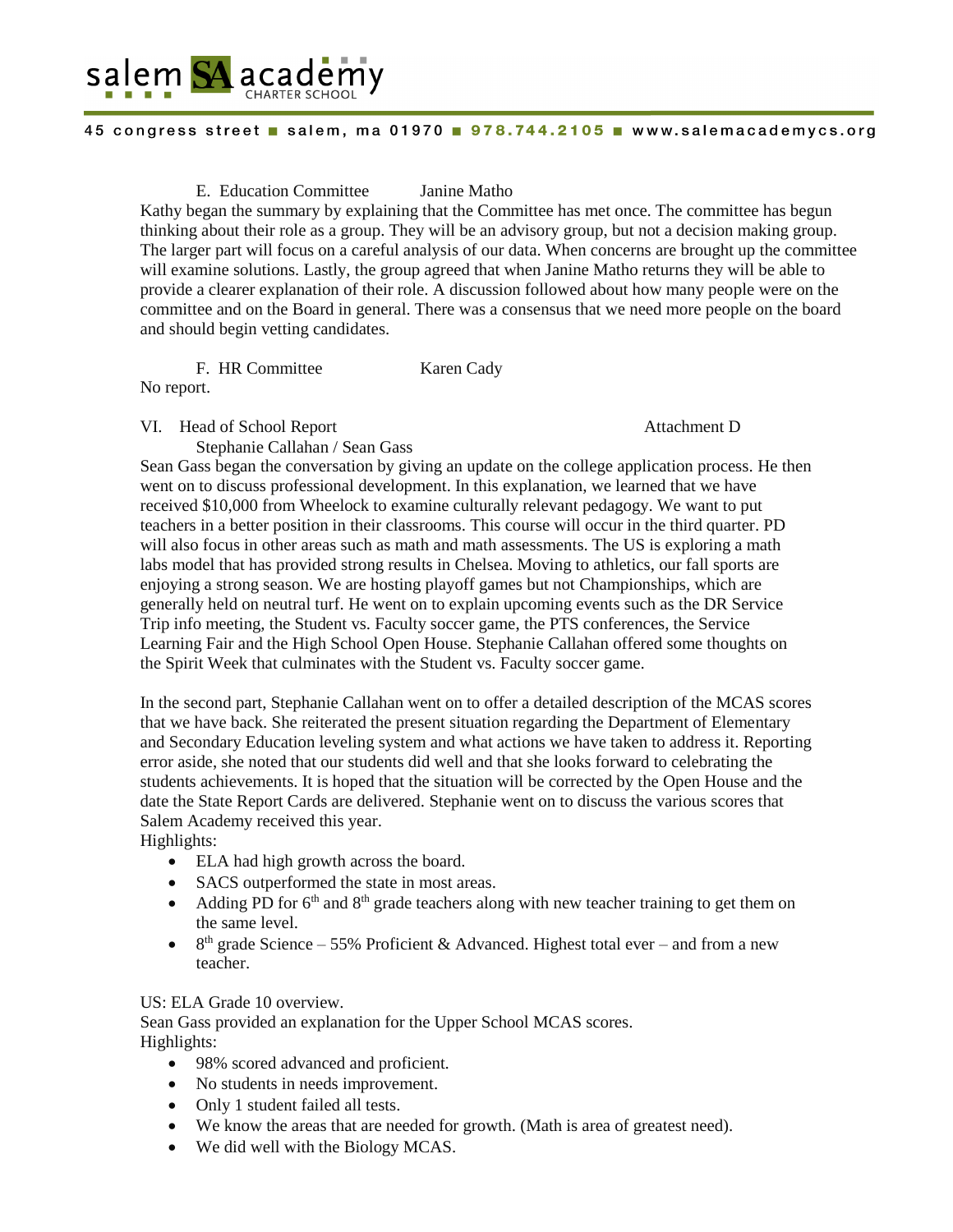

E. Education Committee Janine Matho

Kathy began the summary by explaining that the Committee has met once. The committee has begun thinking about their role as a group. They will be an advisory group, but not a decision making group. The larger part will focus on a careful analysis of our data. When concerns are brought up the committee will examine solutions. Lastly, the group agreed that when Janine Matho returns they will be able to provide a clearer explanation of their role. A discussion followed about how many people were on the committee and on the Board in general. There was a consensus that we need more people on the board and should begin vetting candidates.

F. HR Committee Karen Cady

No report.

VI. Head of School Report Attachment D

Stephanie Callahan / Sean Gass

Sean Gass began the conversation by giving an update on the college application process. He then went on to discuss professional development. In this explanation, we learned that we have received \$10,000 from Wheelock to examine culturally relevant pedagogy. We want to put teachers in a better position in their classrooms. This course will occur in the third quarter. PD will also focus in other areas such as math and math assessments. The US is exploring a math labs model that has provided strong results in Chelsea. Moving to athletics, our fall sports are enjoying a strong season. We are hosting playoff games but not Championships, which are generally held on neutral turf. He went on to explain upcoming events such as the DR Service Trip info meeting, the Student vs. Faculty soccer game, the PTS conferences, the Service Learning Fair and the High School Open House. Stephanie Callahan offered some thoughts on the Spirit Week that culminates with the Student vs. Faculty soccer game.

In the second part, Stephanie Callahan went on to offer a detailed description of the MCAS scores that we have back. She reiterated the present situation regarding the Department of Elementary and Secondary Education leveling system and what actions we have taken to address it. Reporting error aside, she noted that our students did well and that she looks forward to celebrating the students achievements. It is hoped that the situation will be corrected by the Open House and the date the State Report Cards are delivered. Stephanie went on to discuss the various scores that Salem Academy received this year.

Highlights:

- ELA had high growth across the board.
- SACS outperformed the state in most areas.
- Adding PD for  $6<sup>th</sup>$  and  $8<sup>th</sup>$  grade teachers along with new teacher training to get them on the same level.
- 8<sup>th</sup> grade Science 55% Proficient & Advanced. Highest total ever and from a new teacher.

US: ELA Grade 10 overview.

Sean Gass provided an explanation for the Upper School MCAS scores. Highlights:

- 98% scored advanced and proficient.
- No students in needs improvement.
- Only 1 student failed all tests.
- We know the areas that are needed for growth. (Math is area of greatest need).
- We did well with the Biology MCAS.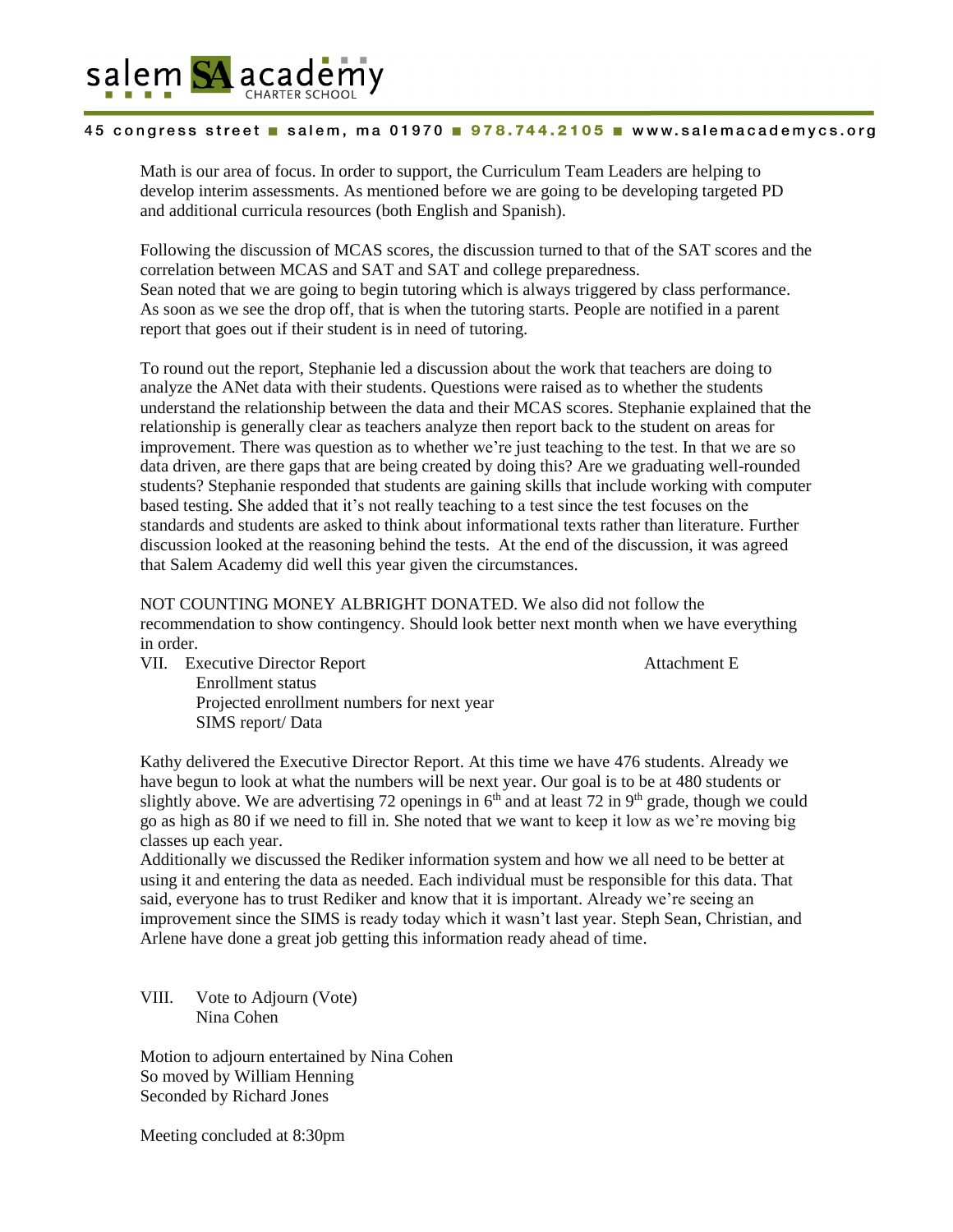

Math is our area of focus. In order to support, the Curriculum Team Leaders are helping to develop interim assessments. As mentioned before we are going to be developing targeted PD and additional curricula resources (both English and Spanish).

Following the discussion of MCAS scores, the discussion turned to that of the SAT scores and the correlation between MCAS and SAT and SAT and college preparedness. Sean noted that we are going to begin tutoring which is always triggered by class performance. As soon as we see the drop off, that is when the tutoring starts. People are notified in a parent report that goes out if their student is in need of tutoring.

To round out the report, Stephanie led a discussion about the work that teachers are doing to analyze the ANet data with their students. Questions were raised as to whether the students understand the relationship between the data and their MCAS scores. Stephanie explained that the relationship is generally clear as teachers analyze then report back to the student on areas for improvement. There was question as to whether we're just teaching to the test. In that we are so data driven, are there gaps that are being created by doing this? Are we graduating well-rounded students? Stephanie responded that students are gaining skills that include working with computer based testing. She added that it's not really teaching to a test since the test focuses on the standards and students are asked to think about informational texts rather than literature. Further discussion looked at the reasoning behind the tests. At the end of the discussion, it was agreed that Salem Academy did well this year given the circumstances.

NOT COUNTING MONEY ALBRIGHT DONATED. We also did not follow the recommendation to show contingency. Should look better next month when we have everything in order.

VII. Executive Director Report Attachment E Enrollment status Projected enrollment numbers for next year SIMS report/ Data

Kathy delivered the Executive Director Report. At this time we have 476 students. Already we have begun to look at what the numbers will be next year. Our goal is to be at 480 students or slightly above. We are advertising 72 openings in  $6<sup>th</sup>$  and at least 72 in 9<sup>th</sup> grade, though we could go as high as 80 if we need to fill in. She noted that we want to keep it low as we're moving big classes up each year.

Additionally we discussed the Rediker information system and how we all need to be better at using it and entering the data as needed. Each individual must be responsible for this data. That said, everyone has to trust Rediker and know that it is important. Already we're seeing an improvement since the SIMS is ready today which it wasn't last year. Steph Sean, Christian, and Arlene have done a great job getting this information ready ahead of time.

VIII. Vote to Adjourn (Vote) Nina Cohen

Motion to adjourn entertained by Nina Cohen So moved by William Henning Seconded by Richard Jones

Meeting concluded at 8:30pm